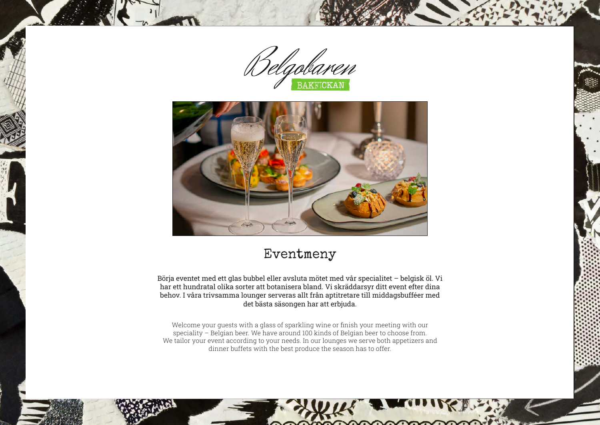



# Eventmeny

Börja eventet med ett glas bubbel eller avsluta mötet med vår specialitet – belgisk öl. Vi har ett hundratal olika sorter att botanisera bland. Vi skräddarsyr ditt event efter dina behov. I våra trivsamma lounger serveras allt från aptitretare till middagsbufféer med det bästa säsongen har att erbjuda.

Welcome your guests with a glass of sparkling wine or finish your meeting with our speciality – Belgian beer. We have around 100 kinds of Belgian beer to choose from. We tailor your event according to your needs. In our lounges we serve both appetizers and dinner buffets with the best produce the season has to offer.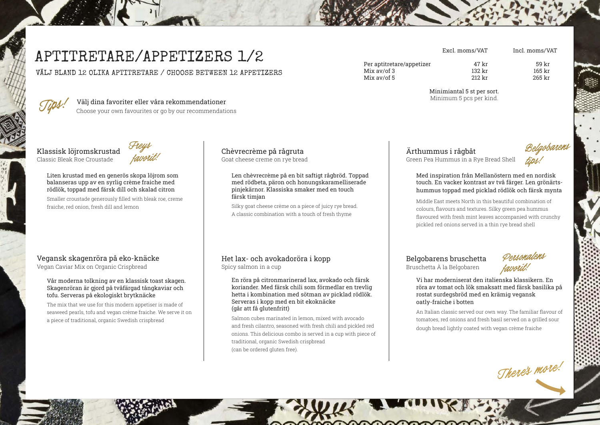# APTITRETARE/APPETIZERS 1/2

VÄLJ BLAND 12 OLIKA APTITRETARE / CHOOSE BETWEEN 12 APPETIZERS



**Tips!** Välj dina favoriter eller våra rekommendationer Choose your own favourites or go by our recommendations

Klassisk löjromskrustad Classic Bleak Roe Croustade



Liten krustad med en generös skopa löjrom som balanseras upp av en syrlig crème fraiche med rödlök, toppad med färsk dill och skalad citron

Smaller croustade generously filled with bleak roe, creme fraiche, red onion, fresh dill and lemon

### Vegansk skagenröra på eko-knäcke

Vegan Caviar Mix on Organic Crispbread

#### Vår moderna tolkning av en klassisk toast skagen. Skagenröran är gjord på tvåfärgad tångkaviar och tofu. Serveras på ekologiskt brytknäcke

The mix that we use for this modern appetiser is made of seaweed pearls, tofu and vegan crème fraiche. We serve it on a piece of traditional, organic Swedish crispbread

Chèvrecrème på rågruta Goat cheese creme on rye bread

> Len chèvrecrème på en bit saftigt rågbröd. Toppad med rödbeta, päron och honungskaramelliserade pinjekärnor. Klassiska smaker med en touch färsk timjan

Silky goat cheese crème on a piece of juicy rye bread. A classic combination with a touch of fresh thyme

#### Het lax- och avokadoröra i kopp Spicy salmon in a cup

En röra på citronmarinerad lax, avokado och färsk koriander. Med färsk chili som förmedlar en trevlig hetta i kombination med sötman av picklad rödlök. Serveras i kopp med en bit ekoknäcke (går att få glutenfritt)

Salmon cubes marinated in lemon, mixed with avocado and fresh cilantro, seasoned with fresh chili and pickled red onions. This delicious combo is served in a cup with piece of traditional, organic Swedish crispbread (can be ordered gluten free).

Ärthummus i rågbåt Green Pea Hummus in a Rye Bread Shell



Med inspiration från Mellanöstern med en nordisk touch. En vacker kontrast av två färger. Len grönärtshummus toppad med picklad rödlök och färsk mynta

Middle East meets North in this beautiful combination of colours, flavours and textures. Silky green pea hummus flavoured with fresh mint leaves accompanied with crunchy pickled red onions served in a thin rye bread shell

## Belgobarens bruschetta

Bruschetta À la Belgobaren



Vi har moderniserat den italienska klassikern. En röra av tomat och lök smaksatt med färsk basilika på rostat surdegsbröd med en krämig vegansk oatly-fraiche i botten

An Italian classic served our own way. The familiar flavour of tomatoes, red onions and fresh basil served on a grilled sour dough bread lightly coated with vegan crème fraiche

**There's more!**



Per aptitretare/appetizer 47 kr 59 kr Mix av/of 3 132 kr 165 kr 165 kr 165 kr 165 kr 165 kr 165 kr 165 kr 165 kr 165 kr 165 kr 167 kr 168 kr 168 kr  $Mix$  av/of 5

Minimiantal 5 st per sort. Minimum 5 pcs per kind.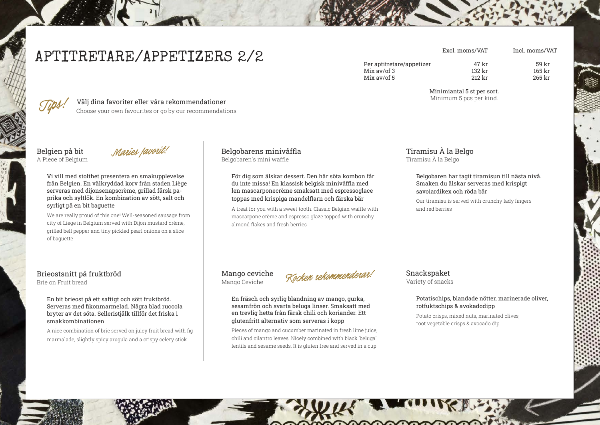# APTITRETARE/APPETIZERS 2/2

Per aptitretare/appetizer 132 kr 59 kr 59 kr 59 kr 59 kr 59 kr 59 kr 59 kr 59 kr 59 kr 59 kr 59 kr 59 kr 59 kr 59 kr 59 kr 59 kr 50 kr 50 kr 50 kr 50 kr 50 kr 50 kr 50 kr 50 kr 50 kr 50 kr 50 kr 50 kr 50 kr 50 kr 50 kr 50 Mix av/of 3 132 kr 165 kr 165 kr 165 kr 165 kr 165 kr 165 kr 165 kr 165 kr 165 kr 165 kr 167 kr 168 kr 168 kr Mix  $av/$ of 5

> Minimiantal 5 st per sort. Minimum 5 pcs per kind.

## **Tips!** Välj dina favoriter eller våra rekommendationer

Choose your own favourites or go by our recommendations

Belgien på bit A Piece of Belgium

**Maries favorit!**

Vi vill med stolthet presentera en smakupplevelse från Belgien. En välkryddad korv från staden Liège serveras med dijonsenapscrème, grillad färsk paprika och syltlök. En kombination av sött, salt och syrligt på en bit baguette

We are really proud of this one! Well-seasoned sausage from city of Liege in Belgium served with Dijon mustard crème, grilled bell pepper and tiny pickled pearl onions on a slice of baguette

## Brieostsnitt på fruktbröd

Brie on Fruit bread

#### En bit brieost på ett saftigt och sött fruktbröd. Serveras med fikonmarmelad. Några blad ruccola bryter av det söta. Selleristjälk tillför det friska i smakkombinationen

A nice combination of brie served on juicy fruit bread with fig marmalade, slightly spicy arugula and a crispy celery stick

#### Belgobarens minivåffla Belgobaren´s mini waffle

För dig som älskar dessert. Den här söta kombon får du inte missa! En klassisk belgisk minivåffla med len mascarponecrème smaksatt med espressoglace toppas med krispiga mandelflarn och färska bär

A treat for you with a sweet tooth. Classic Belgian waffle with mascarpone crème and espresso glaze topped with crunchy almond flakes and fresh berries

#### Mango ceviche Mango Ceviche



En fräsch och syrlig blandning av mango, gurka, sesamfrön och svarta beluga linser. Smaksatt med en trevlig hetta från färsk chili och koriander. Ett glutenfritt alternativ som serveras i kopp

Pieces of mango and cucumber marinated in fresh lime juice, chili and cilantro leaves. Nicely combined with black `beluga` lentils and sesame seeds. It is gluten free and served in a cup

## Tiramisu À la Belgo Tiramisu À la Belgo

#### Belgobaren har tagit tiramisun till nästa nivå. Smaken du älskar serveras med krispigt savoiardikex och röda bär

Our tiramisu is served with crunchy lady fingers and red berries

#### Snackspaket Variety of snacks

#### Potatischips, blandade nötter, marinerade oliver, rotfuktschips & avokadodipp

Potato crisps, mixed nuts, marinated olives, root vegetable crisps & avocado dip

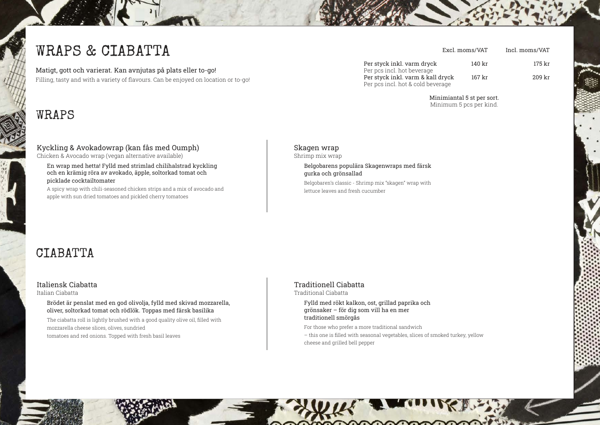# WRAPS & CIABATTA

Matigt, gott och varierat. Kan avnjutas på plats eller to-go! Filling, tasty and with a variety of flavours. Can be enjoyed on location or to-go!

# WRAPS

## Kyckling & Avokadowrap (kan fås med Oumph)

Chicken & Avocado wrap (vegan alternative available)

En wrap med hetta! Fylld med strimlad chilihalstrad kyckling och en krämig röra av avokado, äpple, soltorkad tomat och picklade cocktailtomater

A spicy wrap with chili-seasoned chicken strips and a mix of avocado and apple with sun dried tomatoes and pickled cherry tomatoes

#### Per styck inkl. varm dryck 140 kr 175 kr Per pcs incl. hot beverage Per styck inkl. varm & kall dryck 167 kr 209 kr Per pcs incl. hot & cold beverage

Minimiantal 5 st per sort. Minimum 5 pcs per kind.

## Skagen wrap

Shrimp mix wrap

Belgobarens populära Skagenwraps med färsk gurka och grönsallad

Belgobaren's classic - Shrimp mix "skagen" wrap with lettuce leaves and fresh cucumber

# **CTABATTA**

#### Italiensk Ciabatta

Italian Ciabatta

Brödet är penslat med en god olivolja, fylld med skivad mozzarella, oliver, soltorkad tomat och rödlök. Toppas med färsk basilika

The ciabatta roll is lightly brushed with a good quality olive oil, filled with mozzarella cheese slices, olives, sundried tomatoes and red onions. Topped with fresh basil leaves

#### Traditionell Ciabatta

Traditional Ciabatta

Fylld med rökt kalkon, ost, grillad paprika och grönsaker – för dig som vill ha en mer traditionell smörgås

For those who prefer a more traditional sandwich

– this one is filled with seasonal vegetables, slices of smoked turkey, yellow cheese and grilled bell pepper

Excl. moms/VAT Incl. moms/VAT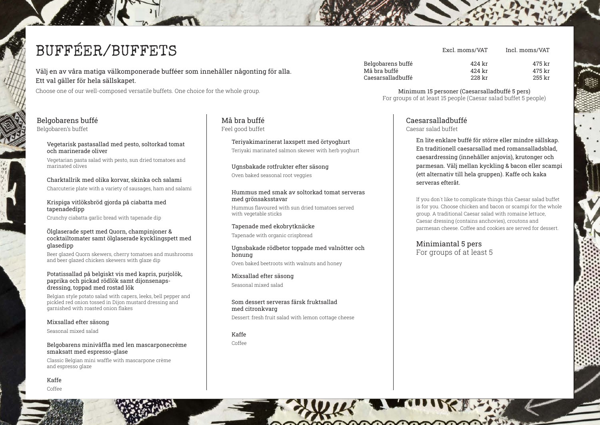# BUFFÉER/BUFFETS

Välj en av våra matiga välkomponerade bufféer som innehåller någonting för alla. Ett val gäller för hela sällskapet.

Choose one of our well-composed versatile buffets. One choice for the whole group.

#### Belgobarens buffé Belgobaren's buffet

#### Vegetarisk pastasallad med pesto, soltorkad tomat och marinerade oliver

Vegetarian pasta salad with pesto, sun dried tomatoes and marinated olives

Charktallrik med olika korvar, skinka och salami Charcuterie plate with a variety of sausages, ham and salami

#### Krispiga vitlöksbröd gjorda på ciabatta med tapenadedipp

Crunchy ciabatta garlic bread with tapenade dip

#### Ölglaserade spett med Quorn, champinjoner & cocktailtomater samt ölglaserade kycklingspett med glasedipp

Beer glazed Quorn skewers, cherry tomatoes and mushrooms and beer glazed chicken skewers with glaze dip

#### Potatissallad på belgiskt vis med kapris, purjolök, paprika och pickad rödlök samt dijonsenapsdressing, toppad med rostad lök

Belgian style potato salad with capers, leeks, bell pepper and pickled red onion tossed in Dijon mustard dressing and garnished with roasted onion flakes

#### Mixsallad efter säsong

Seasonal mixed salad

#### Belgobarens minivåffla med len mascarponecrème smaksatt med espresso-glase

Classic Belgian mini waffle with mascarpone crème and espresso glaze

Kaffe

Coffee

#### Må bra buffé Feel good buffet

Teriyakimarinerat laxspett med örtyoghurt Teriyaki marinated salmon skewer with herb yoghurt

#### Ugnsbakade rotfrukter efter säsong Oven baked seasonal root veggies

#### Hummus med smak av soltorkad tomat serveras med grönsaksstavar

Hummus flavoured with sun dried tomatoes served with vegetable sticks

#### Tapenade med ekobrytknäcke Tapenade with organic crispbread

Ugnsbakade rödbetor toppade med valnötter och honung Oven baked beetroots with walnuts and honey

#### Mixsallad efter säsong Seasonal mixed salad

Som dessert serveras färsk fruktsallad med citronkvarg

Dessert: fresh fruit salad with lemon cottage cheese

Kaffe Coffee

| 42.4 kr | 475 kr |  |
|---------|--------|--|
| 42.4 kr | 475 kr |  |
| 228 kr  | 255 kr |  |
|         |        |  |

Evcl. moms/VAT

Minimum 15 personer (Caesarsalladbuffé 5 pers) For groups of at least 15 people (Caesar salad buffet 5 people)

## Caesarsalladbuffé

Caesar salad buffet

En lite enklare buffé för större eller mindre sällskap. En traditionell caesarsallad med romansalladsblad, caesardressing (innehåller anjovis), krutonger och parmesan. Välj mellan kyckling & bacon eller scampi (ett alternativ till hela gruppen). Kaffe och kaka serveras efteråt.

Incl mome/VAT

If you don´t like to complicate things this Caesar salad buffet is for you. Choose chicken and bacon or scampi for the whole group. A traditional Caesar salad with romaine lettuce, Caesar dressing (contains anchovies), croutons and parmesan cheese. Coffee and cookies are served for dessert.

Minimiantal 5 pers For groups of at least 5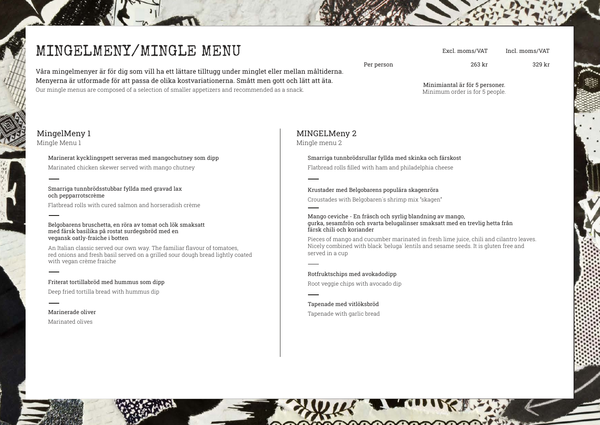# MINGELMENY/MINGLE MENU

Incl. moms/VAT

Per person 263 kr 329 kr

Våra mingelmenyer är för dig som vill ha ett lättare tilltugg under minglet eller mellan måltiderna. Menyerna är utformade för att passa de olika kostvariationerna. Smått men gott och lätt att äta. Our mingle menus are composed of a selection of smaller appetizers and recommended as a snack.

Minimiantal är för 5 personer. Minimum order is for 5 people.

Excl. moms/VAT

## MingelMeny 1

Mingle Menu 1

#### Marinerat kycklingspett serveras med mangochutney som dipp

Marinated chicken skewer served with mango chutney

#### Smarriga tunnbrödsstubbar fyllda med gravad lax och pepparrotscrème

Flatbread rolls with cured salmon and horseradish crème

#### Belgobarens bruschetta, en röra av tomat och lök smaksatt med färsk basilika på rostat surdegsbröd med en vegansk oatly-fraiche i botten

An Italian classic served our own way. The familiar flavour of tomatoes, red onions and fresh basil served on a grilled sour dough bread lightly coated with vegan crème fraiche

#### Friterat tortillabröd med hummus som dipp Deep fried tortilla bread with hummus dip

## MINGELMeny 2

Mingle menu 2

#### Smarriga tunnbrödsrullar fyllda med skinka och färskost

Flatbread rolls filled with ham and philadelphia cheese

#### Krustader med Belgobarens populära skagenröra

Croustades with Belgobaren´s shrimp mix "skagen"

#### Mango ceviche - En fräsch och syrlig blandning av mango, gurka, sesamfrön och svarta belugalinser smaksatt med en trevlig hetta från färsk chili och koriander

Pieces of mango and cucumber marinated in fresh lime juice, chili and cilantro leaves. Nicely combined with black `beluga` lentils and sesame seeds. It is gluten free and served in a cup

#### Rotfruktschips med avokadodipp

Root veggie chips with avocado dip

#### Tapenade med vitlöksbröd Tapenade with garlic bread

# Marinerade oliver Marinated olives